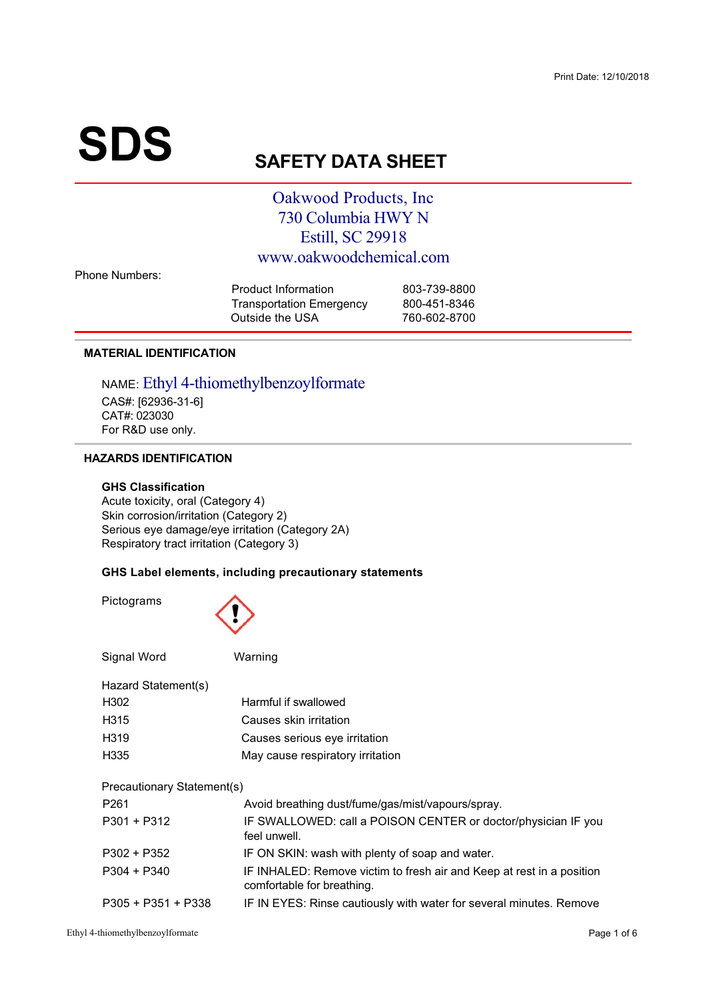# **SDS**

## **SAFETY DATA SHEET**

## Oakwood Products, Inc. 730 Columbia HWY N Estill, SC 29918 www.oakwoodchemical.com

**Phone Numbers:** 

| 803-739-8800 |
|--------------|
| 800-451-8346 |
| 760-602-8700 |
|              |

#### **MATERIAL IDENTIFICATION**

#### NAME: Ethyl 4-thiomethylbenzoylformate CAS#: [62936-31-6] CAT#: 023030 For R&D use only.

#### **HAZARDS IDENTIFICATION**

#### **GHS Classification**

Acute toxicity, oral (Category 4) Skin corrosion/irritation (Category 2) Serious eye damage/eye irritation (Category 2A) Respiratory tract irritation (Category 3)

#### GHS Label elements, including precautionary statements

Pictograms



| Signal Word                | Warning                                                                                             |  |  |  |  |
|----------------------------|-----------------------------------------------------------------------------------------------------|--|--|--|--|
| Hazard Statement(s)        |                                                                                                     |  |  |  |  |
| H302                       | Harmful if swallowed                                                                                |  |  |  |  |
| H <sub>315</sub>           | Causes skin irritation                                                                              |  |  |  |  |
| H <sub>3</sub> 19          | Causes serious eye irritation                                                                       |  |  |  |  |
| H <sub>335</sub>           | May cause respiratory irritation                                                                    |  |  |  |  |
| Precautionary Statement(s) |                                                                                                     |  |  |  |  |
| P <sub>261</sub>           | Avoid breathing dust/fume/gas/mist/vapours/spray.                                                   |  |  |  |  |
| $P301 + P312$              | IF SWALLOWED: call a POISON CENTER or doctor/physician IF you<br>feel unwell.                       |  |  |  |  |
| $P302 + P352$              | IF ON SKIN: wash with plenty of soap and water.                                                     |  |  |  |  |
| $P304 + P340$              | IF INHALED: Remove victim to fresh air and Keep at rest in a position<br>comfortable for breathing. |  |  |  |  |
| $P305 + P351 + P338$       | IF IN EYES: Rinse cautiously with water for several minutes. Remove                                 |  |  |  |  |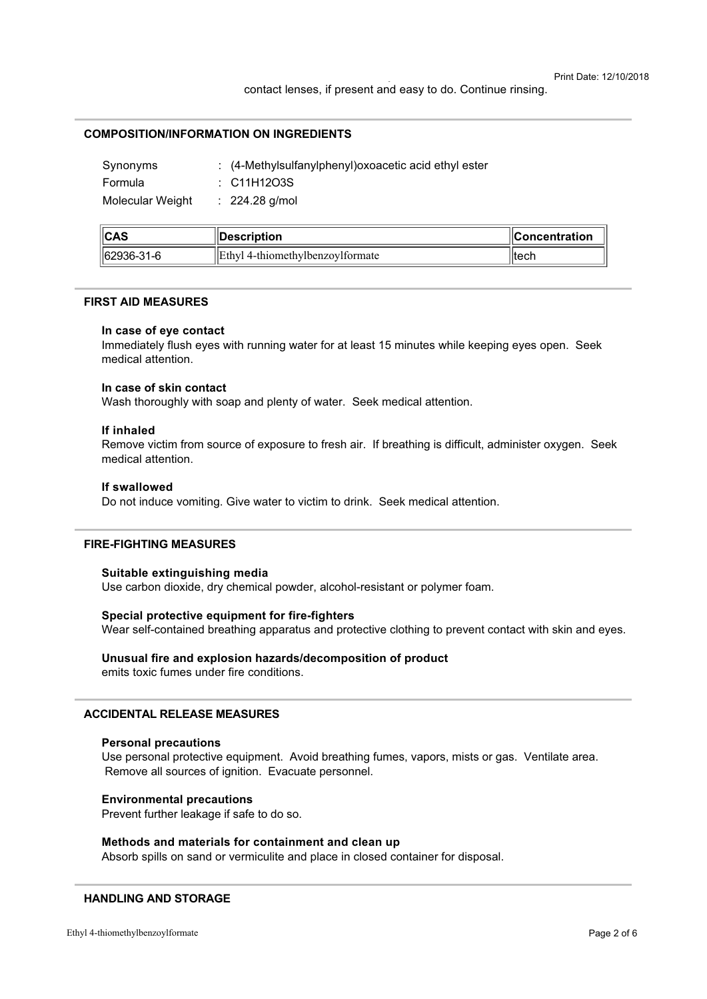#### **COMPOSITION/INFORMATION ON INGREDIENTS**

| Synonyms         | : (4-Methylsulfanylphenyl) oxoacetic acid ethyl ester |
|------------------|-------------------------------------------------------|
| Formula          | : C11H12O3S                                           |
| Molecular Weight | $: 224.28$ g/mol                                      |

| $\ $ CAS       | <b>∣∣Description</b>                     | $\blacksquare$ Concentration |
|----------------|------------------------------------------|------------------------------|
| $  62936-31-6$ | <b>IEthyl</b> 4-thiomethylbenzovlformate | ⊟tech                        |

#### **FIRST AID MEASURES**

#### In case of eye contact

Immediately flush eves with running water for at least 15 minutes while keeping eves open. Seek medical attention.

#### In case of skin contact

Wash thoroughly with soap and plenty of water. Seek medical attention.

#### If inhaled

Remove victim from source of exposure to fresh air. If breathing is difficult, administer oxygen. Seek medical attention.

#### If swallowed

Do not induce vomiting. Give water to victim to drink. Seek medical attention.

#### **FIRE-FIGHTING MEASURES**

#### Suitable extinguishing media

Use carbon dioxide, dry chemical powder, alcohol-resistant or polymer foam.

#### Special protective equipment for fire-fighters

Wear self-contained breathing apparatus and protective clothing to prevent contact with skin and eyes.

#### Unusual fire and explosion hazards/decomposition of product emits toxic fumes under fire conditions.

#### **ACCIDENTAL RELEASE MEASURES**

#### **Personal precautions**

Use personal protective equipment. Avoid breathing fumes, vapors, mists or gas. Ventilate area. Remove all sources of ignition. Evacuate personnel.

#### **Environmental precautions**

Prevent further leakage if safe to do so.

#### Methods and materials for containment and clean up

Absorb spills on sand or vermiculite and place in closed container for disposal.

#### **HANDLING AND STORAGE**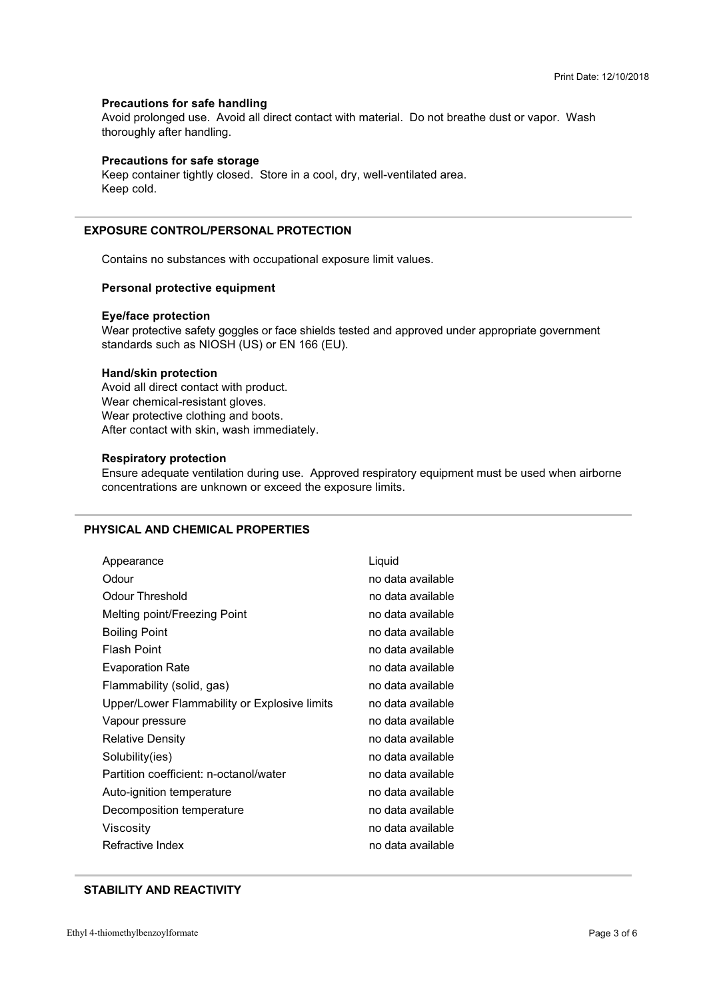#### **Precautions for safe handling**

Avoid prolonged use. Avoid all direct contact with material. Do not breathe dust or vapor. Wash thoroughly after handling.

#### **Precautions for safe storage**

Keep container tightly closed. Store in a cool, dry, well-ventilated area. Keep cold.

#### **EXPOSURE CONTROL/PERSONAL PROTECTION**

Contains no substances with occupational exposure limit values.

#### Personal protective equipment

#### **Eye/face protection**

Wear protective safety goggles or face shields tested and approved under appropriate government standards such as NIOSH (US) or EN 166 (EU).

#### **Hand/skin protection**

Avoid all direct contact with product. Wear chemical-resistant gloves. Wear protective clothing and boots. After contact with skin, wash immediately.

#### **Respiratory protection**

Ensure adequate ventilation during use. Approved respiratory equipment must be used when airborne concentrations are unknown or exceed the exposure limits.

#### PHYSICAL AND CHEMICAL PROPERTIES

| Appearance                                   | Liquid            |
|----------------------------------------------|-------------------|
| Odour                                        | no data available |
| <b>Odour Threshold</b>                       | no data available |
| Melting point/Freezing Point                 | no data available |
| <b>Boiling Point</b>                         | no data available |
| <b>Flash Point</b>                           | no data available |
| <b>Evaporation Rate</b>                      | no data available |
| Flammability (solid, gas)                    | no data available |
| Upper/Lower Flammability or Explosive limits | no data available |
| Vapour pressure                              | no data available |
| <b>Relative Density</b>                      | no data available |
| Solubility(ies)                              | no data available |
| Partition coefficient: n-octanol/water       | no data available |
| Auto-ignition temperature                    | no data available |
| Decomposition temperature                    | no data available |
| Viscosity                                    | no data available |
| Refractive Index                             | no data available |

#### **STABILITY AND REACTIVITY**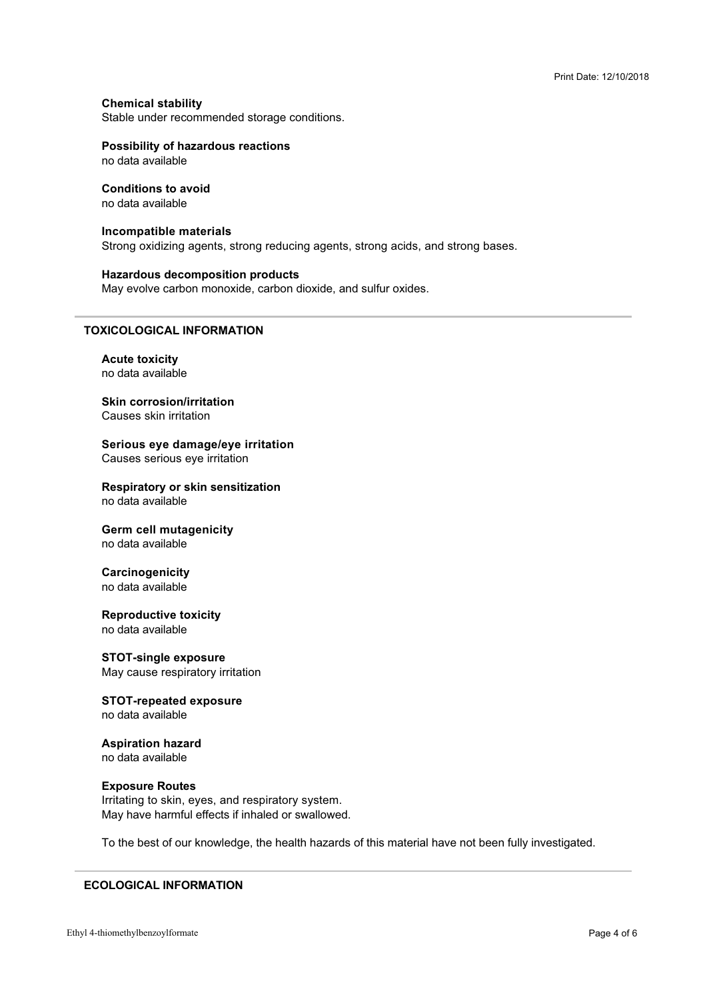**Chemical stability** 

Stable under recommended storage conditions.<br>'

#### **Possibility of hazardous reactions**

## **Conditions to avoid**

#### **Incompatible materials**

Strong oxidizing agents, strong reducing agents, strong acids, and strong bases.

#### **Hazardous decomposition products**

 $\sim$  3.5  $\sim$  5.5  $\sim$  5.5  $\sim$  5.5  $\sim$  5.5  $\sim$  5.5  $\sim$  5.5  $\sim$  5.5  $\sim$  5.5  $\sim$ 

#### **TOXICOLOGICAL INFORMATION**

**Acute toxicity** no data available

# **Skin corrosion/irritation**

**Serious eve damage/eve irritation** Causes serious eye irritation

**Respiratory or skin sensitization** no data available

# **Germ cell mutagenicity**

## **Carcinogenicity**

no data available

# **Reproductive toxicity**

**STOT-single exposure**  $\mathbf{r}$  and  $\mathbf{r}$  and  $\mathbf{r}$ 

#### **STOT-repeated exposure** no data available

#### **Aspiration hazard** no data available

#### **Exposure Routes**

May have harmful effects if inhaled or swallowe \* ?

1. The state of the state of the state of the state of the state of the state of the state of the state of the

#### **ECOLOGICAL INFORMATION**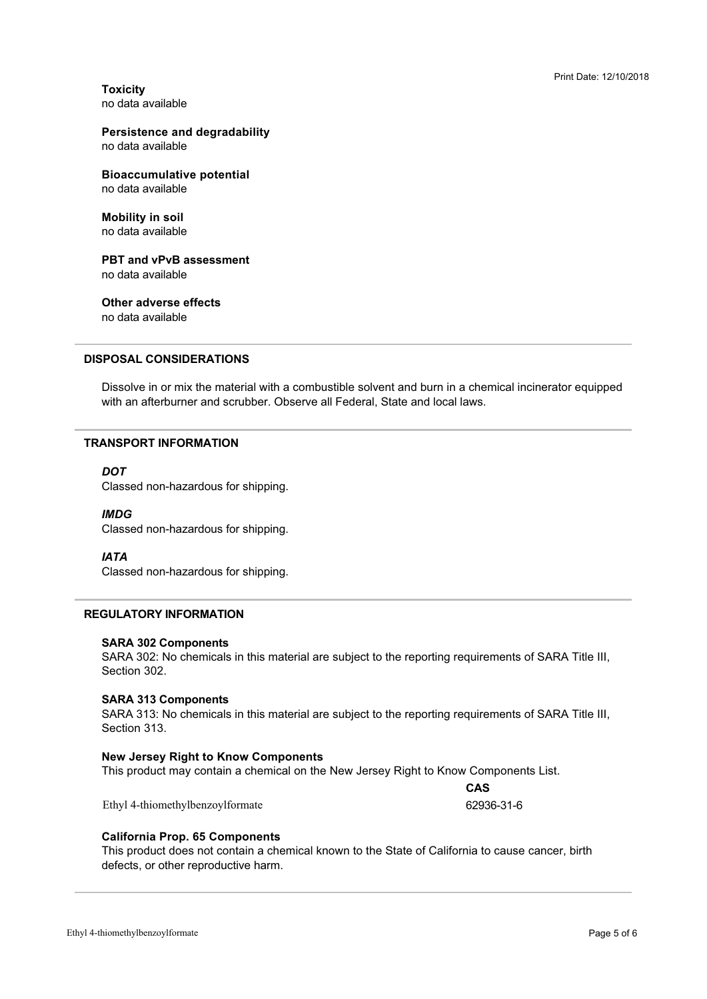**Toxicity** 

### **Persistence and degradability**

**Bioaccumulative potential** 

**Mobility in soil** 

**PBT and vPvB assessment** no data available

**Other adverse effects** no data available

**DISPOSAL CONSIDERATIONS** 

with an afterburner and scrubber. Observe all Federal, State and local laws. Dissolve in or mix the material with a combustible solvent and burn in a chemical incinerator equipped

#### **TRANSPORT INFORMATION**

#### **DOT**

Classed non-hazardous for shipping.

#### **IMDG**

 $\frac{1}{2}$ 

#### **IATA**

Classed non-hazardous for shipping.

#### **REGULATORY INFORMATION**

#### **SARA 302 Components**

SARA 302: No chemicals in this material are subject to the reporting requirements of SARA Title III,<br>Section 302 Section 302.

#### **SARA 313 Components**

SARA 313: No chemicals in this material are subject to the reporting requirements of SARA Title III,<br>Section 313 Section 313.

#### **New Jersey Right to Know Components**

 3>I
 0B>+ A
4

Ethyl 4-thiomethylbenzoylformate

CAS 62936-31-6

#### **California Prop. 65 Components**

defects, or other reproductive harm. This product does not contain a chemical known to the State of California to cause cancer, birth  $\mathbb{R}$  for  $\mathbb{R}$  and  $\mathbb{R}$  is the set of  $\mathbb{R}$